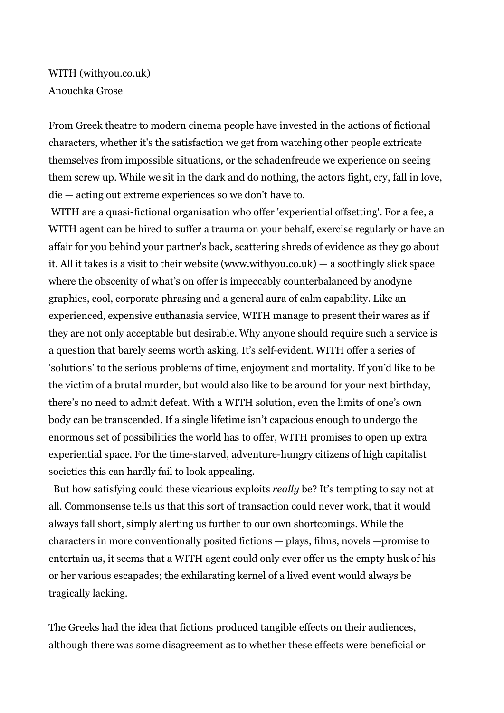WITH (withyou.co.uk) Anouchka Grose

From Greek theatre to modern cinema people have invested in the actions of fictional characters, whether it's the satisfaction we get from watching other people extricate themselves from impossible situations, or the schadenfreude we experience on seeing them screw up. While we sit in the dark and do nothing, the actors fight, cry, fall in love, die — acting out extreme experiences so we don't have to.

WITH are a quasi-fictional organisation who offer 'experiential offsetting'. For a fee, a WITH agent can be hired to suffer a trauma on your behalf, exercise regularly or have an affair for you behind your partner's back, scattering shreds of evidence as they go about it. All it takes is a visit to their website (www.withyou.co.uk) — a soothingly slick space where the obscenity of what's on offer is impeccably counterbalanced by anodyne graphics, cool, corporate phrasing and a general aura of calm capability. Like an experienced, expensive euthanasia service, WITH manage to present their wares as if they are not only acceptable but desirable. Why anyone should require such a service is a question that barely seems worth asking. It's self-evident. WITH offer a series of 'solutions' to the serious problems of time, enjoyment and mortality. If you'd like to be the victim of a brutal murder, but would also like to be around for your next birthday, there's no need to admit defeat. With a WITH solution, even the limits of one's own body can be transcended. If a single lifetime isn't capacious enough to undergo the enormous set of possibilities the world has to offer, WITH promises to open up extra experiential space. For the time-starved, adventure-hungry citizens of high capitalist societies this can hardly fail to look appealing.

But how satisfying could these vicarious exploits *really* be? It's tempting to say not at all. Commonsense tells us that this sort of transaction could never work, that it would always fall short, simply alerting us further to our own shortcomings. While the characters in more conventionally posited fictions — plays, films, novels —promise to entertain us, it seems that a WITH agent could only ever offer us the empty husk of his or her various escapades; the exhilarating kernel of a lived event would always be tragically lacking.

The Greeks had the idea that fictions produced tangible effects on their audiences, although there was some disagreement as to whether these effects were beneficial or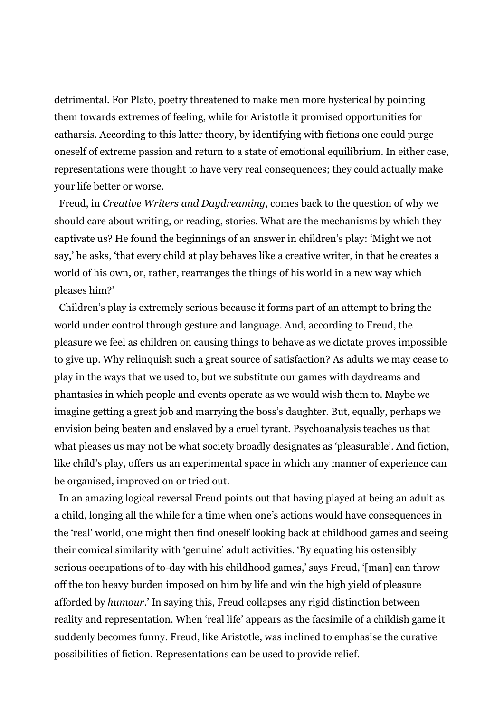detrimental. For Plato, poetry threatened to make men more hysterical by pointing them towards extremes of feeling, while for Aristotle it promised opportunities for catharsis. According to this latter theory, by identifying with fictions one could purge oneself of extreme passion and return to a state of emotional equilibrium. In either case, representations were thought to have very real consequences; they could actually make your life better or worse.

 Freud, in *Creative Writers and Daydreaming*, comes back to the question of why we should care about writing, or reading, stories. What are the mechanisms by which they captivate us? He found the beginnings of an answer in children's play: 'Might we not say,' he asks, 'that every child at play behaves like a creative writer, in that he creates a world of his own, or, rather, rearranges the things of his world in a new way which pleases him?'

Children's play is extremely serious because it forms part of an attempt to bring the world under control through gesture and language. And, according to Freud, the pleasure we feel as children on causing things to behave as we dictate proves impossible to give up. Why relinquish such a great source of satisfaction? As adults we may cease to play in the ways that we used to, but we substitute our games with daydreams and phantasies in which people and events operate as we would wish them to. Maybe we imagine getting a great job and marrying the boss's daughter. But, equally, perhaps we envision being beaten and enslaved by a cruel tyrant. Psychoanalysis teaches us that what pleases us may not be what society broadly designates as 'pleasurable'. And fiction, like child's play, offers us an experimental space in which any manner of experience can be organised, improved on or tried out.

In an amazing logical reversal Freud points out that having played at being an adult as a child, longing all the while for a time when one's actions would have consequences in the 'real' world, one might then find oneself looking back at childhood games and seeing their comical similarity with 'genuine' adult activities. 'By equating his ostensibly serious occupations of to-day with his childhood games,' says Freud, '[man] can throw off the too heavy burden imposed on him by life and win the high yield of pleasure afforded by *humour*.' In saying this, Freud collapses any rigid distinction between reality and representation. When 'real life' appears as the facsimile of a childish game it suddenly becomes funny. Freud, like Aristotle, was inclined to emphasise the curative possibilities of fiction. Representations can be used to provide relief.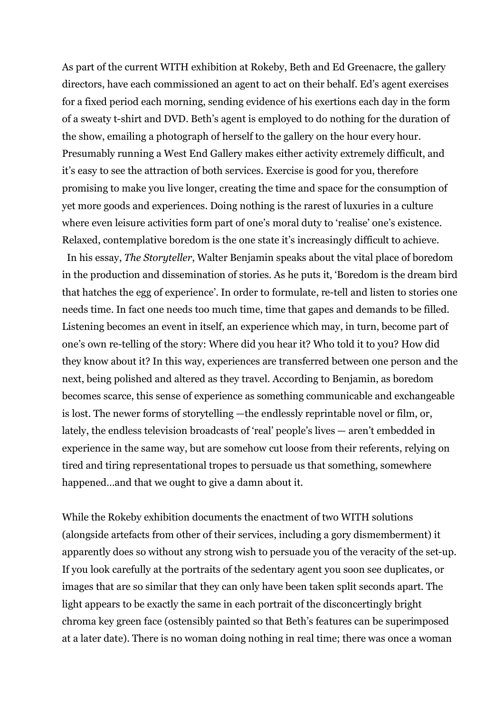As part of the current WITH exhibition at Rokeby, Beth and Ed Greenacre, the gallery directors, have each commissioned an agent to act on their behalf. Ed's agent exercises for a fixed period each morning, sending evidence of his exertions each day in the form of a sweaty t-shirt and DVD. Beth's agent is employed to do nothing for the duration of the show, emailing a photograph of herself to the gallery on the hour every hour. Presumably running a West End Gallery makes either activity extremely difficult, and it's easy to see the attraction of both services. Exercise is good for you, therefore promising to make you live longer, creating the time and space for the consumption of yet more goods and experiences. Doing nothing is the rarest of luxuries in a culture where even leisure activities form part of one's moral duty to 'realise' one's existence. Relaxed, contemplative boredom is the one state it's increasingly difficult to achieve.

In his essay, *The Storyteller*, Walter Benjamin speaks about the vital place of boredom in the production and dissemination of stories. As he puts it, 'Boredom is the dream bird that hatches the egg of experience'. In order to formulate, re-tell and listen to stories one needs time. In fact one needs too much time, time that gapes and demands to be filled. Listening becomes an event in itself, an experience which may, in turn, become part of one's own re-telling of the story: Where did you hear it? Who told it to you? How did they know about it? In this way, experiences are transferred between one person and the next, being polished and altered as they travel. According to Benjamin, as boredom becomes scarce, this sense of experience as something communicable and exchangeable is lost. The newer forms of storytelling —the endlessly reprintable novel or film, or, lately, the endless television broadcasts of 'real' people's lives — aren't embedded in experience in the same way, but are somehow cut loose from their referents, relying on tired and tiring representational tropes to persuade us that something, somewhere happened…and that we ought to give a damn about it.

While the Rokeby exhibition documents the enactment of two WITH solutions (alongside artefacts from other of their services, including a gory dismemberment) it apparently does so without any strong wish to persuade you of the veracity of the set-up. If you look carefully at the portraits of the sedentary agent you soon see duplicates, or images that are so similar that they can only have been taken split seconds apart. The light appears to be exactly the same in each portrait of the disconcertingly bright chroma key green face (ostensibly painted so that Beth's features can be superimposed at a later date). There is no woman doing nothing in real time; there was once a woman